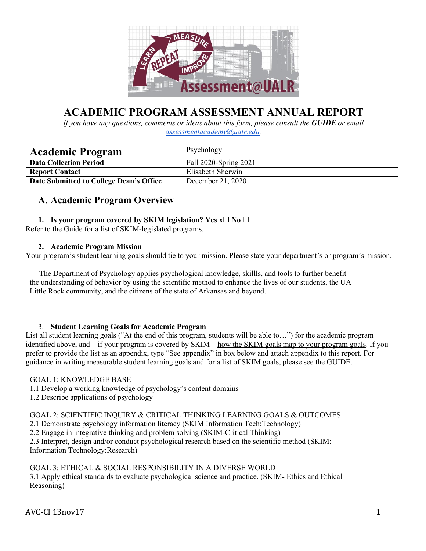

# **ACADEMIC PROGRAM ASSESSMENT ANNUAL REPORT**

*If you have any questions, comments or ideas about this form, please consult the GUIDE or email assessmentacademy@ualr.edu.* 

| <b>Academic Program</b>                 | Psychology            |
|-----------------------------------------|-----------------------|
| <b>Data Collection Period</b>           | Fall 2020-Spring 2021 |
| <b>Report Contact</b>                   | Elisabeth Sherwin     |
| Date Submitted to College Dean's Office | December 21, 2020     |

## **A. Academic Program Overview**

### **1. Is your program covered by SKIM legislation? Yes x**☐ **No** ☐

Refer to the Guide for a list of SKIM-legislated programs.

### **2. Academic Program Mission**

Your program's student learning goals should tie to your mission. Please state your department's or program's mission.

 The Department of Psychology applies psychological knowledge, skillls, and tools to further benefit the understanding of behavior by using the scientific method to enhance the lives of our students, the UA Little Rock community, and the citizens of the state of Arkansas and beyond.

### 3. **Student Learning Goals for Academic Program**

List all student learning goals ("At the end of this program, students will be able to…") for the academic program identified above, and—if your program is covered by SKIM—how the SKIM goals map to your program goals. If you prefer to provide the list as an appendix, type "See appendix" in box below and attach appendix to this report. For guidance in writing measurable student learning goals and for a list of SKIM goals, please see the GUIDE.

### GOAL 1: KNOWLEDGE BASE

- 1.1 Develop a working knowledge of psychology's content domains
- 1.2 Describe applications of psychology

GOAL 2: SCIENTIFIC INQUIRY & CRITICAL THINKING LEARNING GOALS & OUTCOMES

2.1 Demonstrate psychology information literacy (SKIM Information Tech:Technology)

2.2 Engage in integrative thinking and problem solving (SKIM-Critical Thinking)

2.3 Interpret, design and/or conduct psychological research based on the scientific method (SKIM: Information Technology:Research)

GOAL 3: ETHICAL & SOCIAL RESPONSIBILITY IN A DIVERSE WORLD 3.1 Apply ethical standards to evaluate psychological science and practice. (SKIM- Ethics and Ethical Reasoning)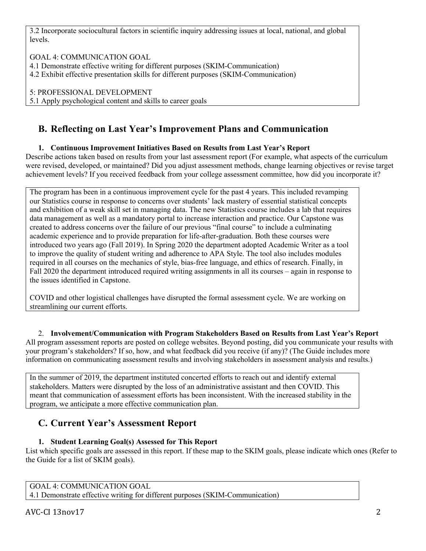3.2 Incorporate sociocultural factors in scientific inquiry addressing issues at local, national, and global levels.

GOAL 4: COMMUNICATION GOAL

4.1 Demonstrate effective writing for different purposes (SKIM-Communication)

4.2 Exhibit effective presentation skills for different purposes (SKIM-Communication)

5: PROFESSIONAL DEVELOPMENT

5.1 Apply psychological content and skills to career goals

## **B. Reflecting on Last Year's Improvement Plans and Communication**

### **1. Continuous Improvement Initiatives Based on Results from Last Year's Report**

Describe actions taken based on results from your last assessment report (For example, what aspects of the curriculum were revised, developed, or maintained? Did you adjust assessment methods, change learning objectives or revise target achievement levels? If you received feedback from your college assessment committee, how did you incorporate it?

The program has been in a continuous improvement cycle for the past 4 years. This included revamping our Statistics course in response to concerns over students' lack mastery of essential statistical concepts and exhibition of a weak skill set in managing data. The new Statistics course includes a lab that requires data management as well as a mandatory portal to increase interaction and practice. Our Capstone was created to address concerns over the failure of our previous "final course" to include a culminating academic experience and to provide preparation for life-after-graduation. Both these courses were introduced two years ago (Fall 2019). In Spring 2020 the department adopted Academic Writer as a tool to improve the quality of student writing and adherence to APA Style. The tool also includes modules required in all courses on the mechanics of style, bias-free language, and ethics of research. Finally, in Fall 2020 the department introduced required writing assignments in all its courses – again in response to the issues identified in Capstone.

COVID and other logistical challenges have disrupted the formal assessment cycle. We are working on streamlining our current efforts.

2. **Involvement/Communication with Program Stakeholders Based on Results from Last Year's Report** All program assessment reports are posted on college websites. Beyond posting, did you communicate your results with your program's stakeholders? If so, how, and what feedback did you receive (if any)? (The Guide includes more information on communicating assessment results and involving stakeholders in assessment analysis and results.)

In the summer of 2019, the department instituted concerted efforts to reach out and identify external stakeholders. Matters were disrupted by the loss of an administrative assistant and then COVID. This meant that communication of assessment efforts has been inconsistent. With the increased stability in the program, we anticipate a more effective communication plan.

## **C. Current Year's Assessment Report**

### **1. Student Learning Goal(s) Assessed for This Report**

List which specific goals are assessed in this report. If these map to the SKIM goals, please indicate which ones (Refer to the Guide for a list of SKIM goals).

GOAL 4: COMMUNICATION GOAL

4.1 Demonstrate effective writing for different purposes (SKIM-Communication)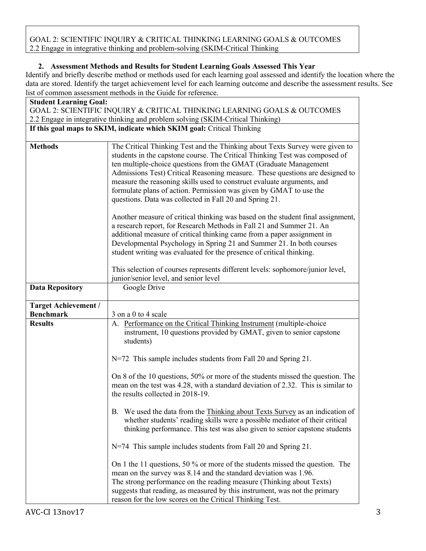GOAL 2: SCIENTIFIC INQUIRY & CRITICAL THINKING LEARNING GOALS & OUTCOMES 2.2 Engage in integrative thinking and problem-solving (SKIM-Critical Thinking

### **2. Assessment Methods and Results for Student Learning Goals Assessed This Year**

Identify and briefly describe method or methods used for each learning goal assessed and identify the location where the data are stored. Identify the target achievement level for each learning outcome and describe the assessment results. See list of common assessment methods in the Guide for reference.

| <b>Student Learning Goal:</b>                                            |                                                                                                                                                                                                                                                                                                                                                                                                                                                                                                                            |  |  |  |
|--------------------------------------------------------------------------|----------------------------------------------------------------------------------------------------------------------------------------------------------------------------------------------------------------------------------------------------------------------------------------------------------------------------------------------------------------------------------------------------------------------------------------------------------------------------------------------------------------------------|--|--|--|
| GOAL 2: SCIENTIFIC INQUIRY & CRITICAL THINKING LEARNING GOALS & OUTCOMES |                                                                                                                                                                                                                                                                                                                                                                                                                                                                                                                            |  |  |  |
|                                                                          | 2.2 Engage in integrative thinking and problem solving (SKIM-Critical Thinking)                                                                                                                                                                                                                                                                                                                                                                                                                                            |  |  |  |
|                                                                          | If this goal maps to SKIM, indicate which SKIM goal: Critical Thinking                                                                                                                                                                                                                                                                                                                                                                                                                                                     |  |  |  |
|                                                                          |                                                                                                                                                                                                                                                                                                                                                                                                                                                                                                                            |  |  |  |
| <b>Methods</b>                                                           | The Critical Thinking Test and the Thinking about Texts Survey were given to<br>students in the capstone course. The Critical Thinking Test was composed of<br>ten multiple-choice questions from the GMAT (Graduate Management<br>Admissions Test) Critical Reasoning measure. These questions are designed to<br>measure the reasoning skills used to construct evaluate arguments, and<br>formulate plans of action. Permission was given by GMAT to use the<br>questions. Data was collected in Fall 20 and Spring 21. |  |  |  |
|                                                                          | Another measure of critical thinking was based on the student final assignment,<br>a research report, for Research Methods in Fall 21 and Summer 21. An<br>additional measure of critical thinking came from a paper assignment in<br>Developmental Psychology in Spring 21 and Summer 21. In both courses<br>student writing was evaluated for the presence of critical thinking.                                                                                                                                         |  |  |  |
|                                                                          | This selection of courses represents different levels: sophomore/junior level,<br>junior/senior level, and senior level                                                                                                                                                                                                                                                                                                                                                                                                    |  |  |  |
| <b>Data Repository</b>                                                   | Google Drive                                                                                                                                                                                                                                                                                                                                                                                                                                                                                                               |  |  |  |
| Target Achievement /                                                     |                                                                                                                                                                                                                                                                                                                                                                                                                                                                                                                            |  |  |  |
| <b>Benchmark</b>                                                         | 3 on a 0 to 4 scale                                                                                                                                                                                                                                                                                                                                                                                                                                                                                                        |  |  |  |
| <b>Results</b>                                                           | A. Performance on the Critical Thinking Instrument (multiple-choice<br>instrument, 10 questions provided by GMAT, given to senior capstone<br>students)                                                                                                                                                                                                                                                                                                                                                                    |  |  |  |
|                                                                          | $N=72$ This sample includes students from Fall 20 and Spring 21.                                                                                                                                                                                                                                                                                                                                                                                                                                                           |  |  |  |
|                                                                          | On 8 of the 10 questions, 50% or more of the students missed the question. The<br>mean on the test was 4.28, with a standard deviation of 2.32. This is similar to<br>the results collected in 2018-19.                                                                                                                                                                                                                                                                                                                    |  |  |  |
|                                                                          | B. We used the data from the Thinking about Texts Survey as an indication of<br>whether students' reading skills were a possible mediator of their critical<br>thinking performance. This test was also given to senior capstone students                                                                                                                                                                                                                                                                                  |  |  |  |
|                                                                          | $N=74$ This sample includes students from Fall 20 and Spring 21.                                                                                                                                                                                                                                                                                                                                                                                                                                                           |  |  |  |
|                                                                          | On 1 the 11 questions, 50 % or more of the students missed the question. The<br>mean on the survey was 8.14 and the standard deviation was 1.96.<br>The strong performance on the reading measure (Thinking about Texts)<br>suggests that reading, as measured by this instrument, was not the primary<br>reason for the low scores on the Critical Thinking Test.                                                                                                                                                         |  |  |  |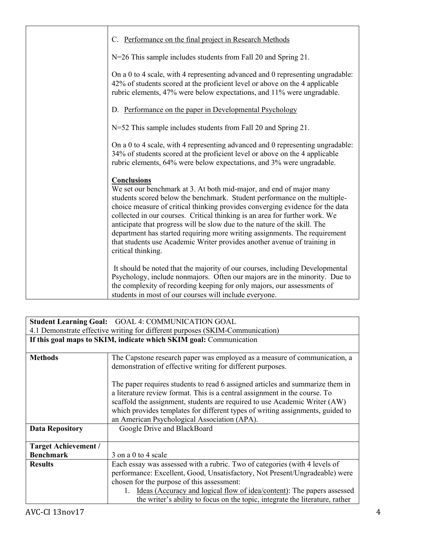| C. Performance on the final project in Research Methods                                                                                                                                                                                                                                                                                                                                                                                                                                                                                                                                             |
|-----------------------------------------------------------------------------------------------------------------------------------------------------------------------------------------------------------------------------------------------------------------------------------------------------------------------------------------------------------------------------------------------------------------------------------------------------------------------------------------------------------------------------------------------------------------------------------------------------|
| N=26 This sample includes students from Fall 20 and Spring 21.                                                                                                                                                                                                                                                                                                                                                                                                                                                                                                                                      |
| On a 0 to 4 scale, with 4 representing advanced and 0 representing ungradable:<br>42% of students scored at the proficient level or above on the 4 applicable<br>rubric elements, 47% were below expectations, and 11% were ungradable.                                                                                                                                                                                                                                                                                                                                                             |
| D. Performance on the paper in Developmental Psychology                                                                                                                                                                                                                                                                                                                                                                                                                                                                                                                                             |
| N=52 This sample includes students from Fall 20 and Spring 21.                                                                                                                                                                                                                                                                                                                                                                                                                                                                                                                                      |
| On a 0 to 4 scale, with 4 representing advanced and 0 representing ungradable:<br>34% of students scored at the proficient level or above on the 4 applicable<br>rubric elements, 64% were below expectations, and 3% were ungradable.                                                                                                                                                                                                                                                                                                                                                              |
| <b>Conclusions</b><br>We set our benchmark at 3. At both mid-major, and end of major many<br>students scored below the benchmark. Student performance on the multiple-<br>choice measure of critical thinking provides converging evidence for the data<br>collected in our courses. Critical thinking is an area for further work. We<br>anticipate that progress will be slow due to the nature of the skill. The<br>department has started requiring more writing assignments. The requirement<br>that students use Academic Writer provides another avenue of training in<br>critical thinking. |
| It should be noted that the majority of our courses, including Developmental<br>Psychology, include nonmajors. Often our majors are in the minority. Due to<br>the complexity of recording keeping for only majors, our assessments of<br>students in most of our courses will include everyone.                                                                                                                                                                                                                                                                                                    |

| <b>Student Learning Goal: GOAL 4: COMMUNICATION GOAL</b>                      |                                                                                                                                                                                                                                                                                                                                                                                                            |  |  |  |
|-------------------------------------------------------------------------------|------------------------------------------------------------------------------------------------------------------------------------------------------------------------------------------------------------------------------------------------------------------------------------------------------------------------------------------------------------------------------------------------------------|--|--|--|
| 4.1 Demonstrate effective writing for different purposes (SKIM-Communication) |                                                                                                                                                                                                                                                                                                                                                                                                            |  |  |  |
| If this goal maps to SKIM, indicate which SKIM goal: Communication            |                                                                                                                                                                                                                                                                                                                                                                                                            |  |  |  |
|                                                                               |                                                                                                                                                                                                                                                                                                                                                                                                            |  |  |  |
| <b>Methods</b>                                                                | The Capstone research paper was employed as a measure of communication, a                                                                                                                                                                                                                                                                                                                                  |  |  |  |
|                                                                               | demonstration of effective writing for different purposes.                                                                                                                                                                                                                                                                                                                                                 |  |  |  |
| <b>Data Repository</b>                                                        | The paper requires students to read 6 assigned articles and summarize them in<br>a literature review format. This is a central assignment in the course. To<br>scaffold the assignment, students are required to use Academic Writer (AW)<br>which provides templates for different types of writing assignments, guided to<br>an American Psychological Association (APA).<br>Google Drive and BlackBoard |  |  |  |
|                                                                               |                                                                                                                                                                                                                                                                                                                                                                                                            |  |  |  |
| <b>Target Achievement /</b>                                                   |                                                                                                                                                                                                                                                                                                                                                                                                            |  |  |  |
| <b>Benchmark</b>                                                              | 3 on a 0 to 4 scale                                                                                                                                                                                                                                                                                                                                                                                        |  |  |  |
| <b>Results</b>                                                                | Each essay was assessed with a rubric. Two of categories (with 4 levels of                                                                                                                                                                                                                                                                                                                                 |  |  |  |
|                                                                               | performance: Excellent, Good, Unsatisfactory, Not Present/Ungradeable) were                                                                                                                                                                                                                                                                                                                                |  |  |  |
|                                                                               | chosen for the purpose of this assessment:                                                                                                                                                                                                                                                                                                                                                                 |  |  |  |
|                                                                               | Ideas (Accuracy and logical flow of idea/content): The papers assessed<br>1.                                                                                                                                                                                                                                                                                                                               |  |  |  |
|                                                                               | the writer's ability to focus on the topic, integrate the literature, rather                                                                                                                                                                                                                                                                                                                               |  |  |  |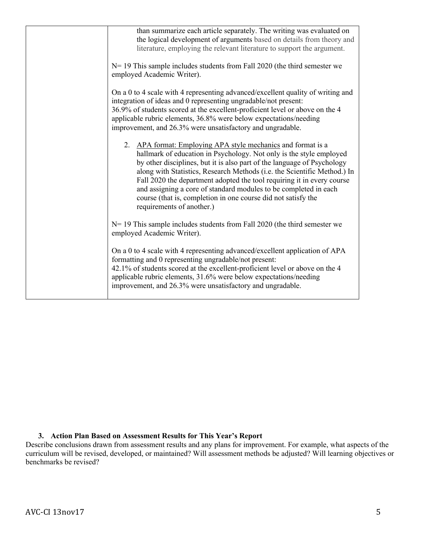| than summarize each article separately. The writing was evaluated on<br>the logical development of arguments based on details from theory and<br>literature, employing the relevant literature to support the argument.<br>$N=19$ This sample includes students from Fall 2020 (the third semester we<br>employed Academic Writer).                                                                                                                                                                                                    |
|----------------------------------------------------------------------------------------------------------------------------------------------------------------------------------------------------------------------------------------------------------------------------------------------------------------------------------------------------------------------------------------------------------------------------------------------------------------------------------------------------------------------------------------|
| On a 0 to 4 scale with 4 representing advanced/excellent quality of writing and<br>integration of ideas and 0 representing ungradable/not present:<br>36.9% of students scored at the excellent-proficient level or above on the 4<br>applicable rubric elements, 36.8% were below expectations/needing<br>improvement, and 26.3% were unsatisfactory and ungradable.                                                                                                                                                                  |
| 2. APA format: Employing APA style mechanics and format is a<br>hallmark of education in Psychology. Not only is the style employed<br>by other disciplines, but it is also part of the language of Psychology<br>along with Statistics, Research Methods (i.e. the Scientific Method.) In<br>Fall 2020 the department adopted the tool requiring it in every course<br>and assigning a core of standard modules to be completed in each<br>course (that is, completion in one course did not satisfy the<br>requirements of another.) |
| $N=19$ This sample includes students from Fall 2020 (the third semester we<br>employed Academic Writer).                                                                                                                                                                                                                                                                                                                                                                                                                               |
| On a 0 to 4 scale with 4 representing advanced/excellent application of APA<br>formatting and 0 representing ungradable/not present:<br>42.1% of students scored at the excellent-proficient level or above on the 4<br>applicable rubric elements, 31.6% were below expectations/needing<br>improvement, and 26.3% were unsatisfactory and ungradable.                                                                                                                                                                                |

### **3. Action Plan Based on Assessment Results for This Year's Report**

Describe conclusions drawn from assessment results and any plans for improvement. For example, what aspects of the curriculum will be revised, developed, or maintained? Will assessment methods be adjusted? Will learning objectives or benchmarks be revised?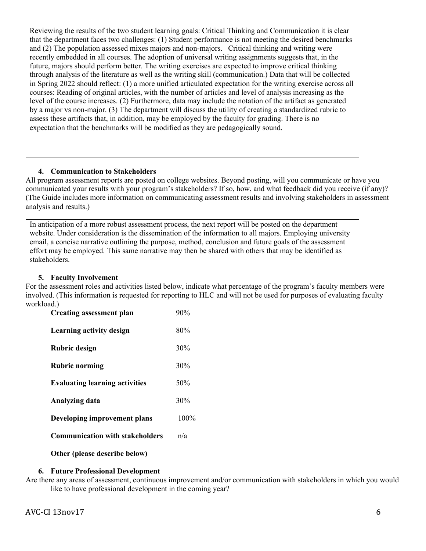Reviewing the results of the two student learning goals: Critical Thinking and Communication it is clear that the department faces two challenges: (1) Student performance is not meeting the desired benchmarks and (2) The population assessed mixes majors and non-majors. Critical thinking and writing were recently embedded in all courses. The adoption of universal writing assignments suggests that, in the future, majors should perform better. The writing exercises are expected to improve critical thinking through analysis of the literature as well as the writing skill (communication.) Data that will be collected in Spring 2022 should reflect: (1) a more unified articulated expectation for the writing exercise across all courses: Reading of original articles, with the number of articles and level of analysis increasing as the level of the course increases. (2) Furthermore, data may include the notation of the artifact as generated by a major vs non-major. (3) The department will discuss the utility of creating a standardized rubric to assess these artifacts that, in addition, may be employed by the faculty for grading. There is no expectation that the benchmarks will be modified as they are pedagogically sound.

### **4. Communication to Stakeholders**

All program assessment reports are posted on college websites. Beyond posting, will you communicate or have you communicated your results with your program's stakeholders? If so, how, and what feedback did you receive (if any)? (The Guide includes more information on communicating assessment results and involving stakeholders in assessment analysis and results.)

In anticipation of a more robust assessment process, the next report will be posted on the department website. Under consideration is the dissemination of the information to all majors. Employing university email, a concise narrative outlining the purpose, method, conclusion and future goals of the assessment effort may be employed. This same narrative may then be shared with others that may be identified as stakeholders.

### **5. Faculty Involvement**

For the assessment roles and activities listed below, indicate what percentage of the program's faculty members were involved. (This information is requested for reporting to HLC and will not be used for purposes of evaluating faculty workload.)

| <b>Creating assessment plan</b>        | 90%  |
|----------------------------------------|------|
| <b>Learning activity design</b>        | 80%  |
| Rubric design                          | 30%  |
| <b>Rubric norming</b>                  | 30%  |
| <b>Evaluating learning activities</b>  | 50%  |
| Analyzing data                         | 30%  |
| Developing improvement plans           | 100% |
| <b>Communication with stakeholders</b> | n/a  |
| Other (please describe below)          |      |

### **6. Future Professional Development**

Are there any areas of assessment, continuous improvement and/or communication with stakeholders in which you would like to have professional development in the coming year?